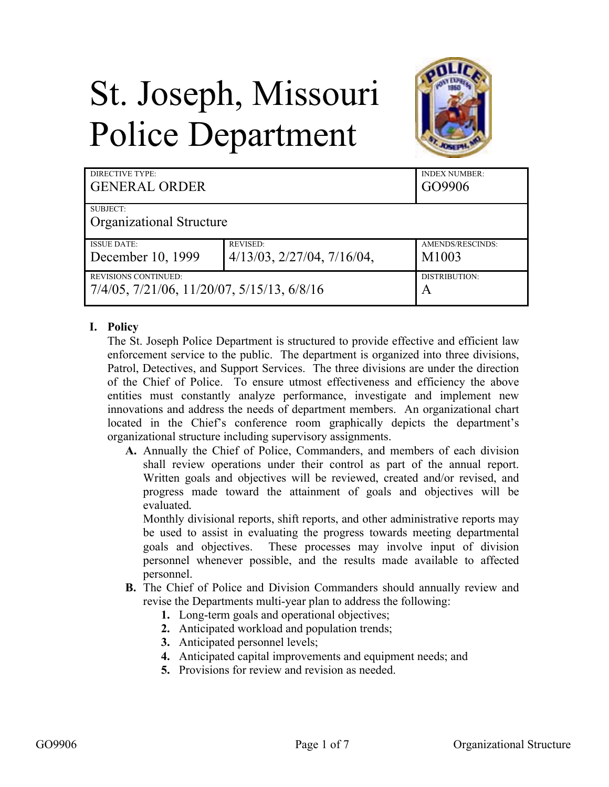# St. Joseph, Missouri Police Department



| DIRECTIVE TYPE:<br><b>GENERAL ORDER</b>    |                                     | <b>INDEX NUMBER:</b><br>GO9906 |  |
|--------------------------------------------|-------------------------------------|--------------------------------|--|
| SUBJECT:                                   |                                     |                                |  |
| <b>Organizational Structure</b>            |                                     |                                |  |
| <b>ISSUE DATE:</b>                         | <b>REVISED:</b>                     | AMENDS/RESCINDS:               |  |
| December 10, 1999                          | $4/13/03$ , $2/27/04$ , $7/16/04$ , | M1003                          |  |
| <b>REVISIONS CONTINUED:</b>                |                                     | DISTRIBUTION:                  |  |
| 7/4/05, 7/21/06, 11/20/07, 5/15/13, 6/8/16 |                                     | A                              |  |

#### **I. Policy**

The St. Joseph Police Department is structured to provide effective and efficient law enforcement service to the public. The department is organized into three divisions, Patrol, Detectives, and Support Services. The three divisions are under the direction of the Chief of Police. To ensure utmost effectiveness and efficiency the above entities must constantly analyze performance, investigate and implement new innovations and address the needs of department members. An organizational chart located in the Chief's conference room graphically depicts the department's organizational structure including supervisory assignments.

**A.** Annually the Chief of Police, Commanders, and members of each division shall review operations under their control as part of the annual report. Written goals and objectives will be reviewed, created and/or revised, and progress made toward the attainment of goals and objectives will be evaluated*.*

Monthly divisional reports, shift reports, and other administrative reports may be used to assist in evaluating the progress towards meeting departmental goals and objectives. These processes may involve input of division personnel whenever possible, and the results made available to affected personnel.

- **B.** The Chief of Police and Division Commanders should annually review and revise the Departments multi-year plan to address the following:
	- **1.** Long-term goals and operational objectives;
	- **2.** Anticipated workload and population trends;
	- **3.** Anticipated personnel levels;
	- **4.** Anticipated capital improvements and equipment needs; and
	- **5.** Provisions for review and revision as needed.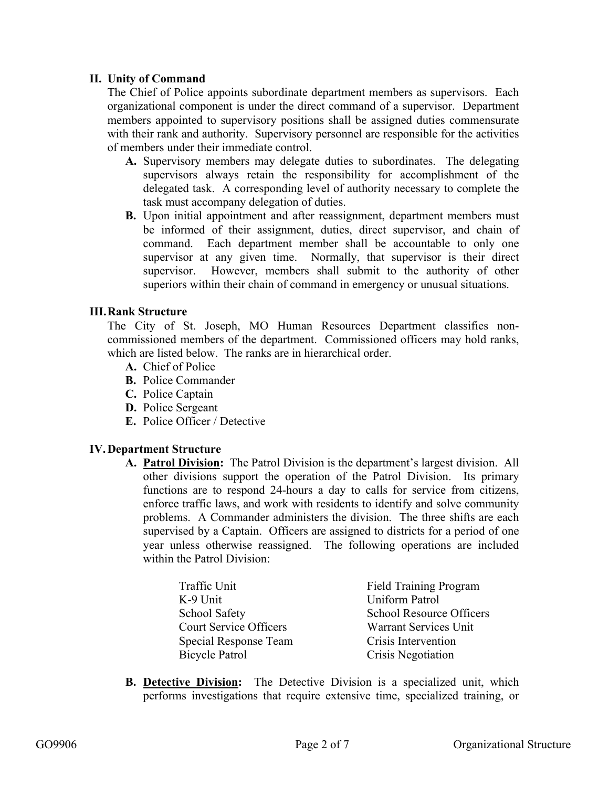#### **II. Unity of Command**

The Chief of Police appoints subordinate department members as supervisors. Each organizational component is under the direct command of a supervisor. Department members appointed to supervisory positions shall be assigned duties commensurate with their rank and authority. Supervisory personnel are responsible for the activities of members under their immediate control.

- **A.** Supervisory members may delegate duties to subordinates. The delegating supervisors always retain the responsibility for accomplishment of the delegated task. A corresponding level of authority necessary to complete the task must accompany delegation of duties.
- **B.** Upon initial appointment and after reassignment, department members must be informed of their assignment, duties, direct supervisor, and chain of command. Each department member shall be accountable to only one supervisor at any given time. Normally, that supervisor is their direct supervisor. However, members shall submit to the authority of other superiors within their chain of command in emergency or unusual situations.

#### **III.Rank Structure**

The City of St. Joseph, MO Human Resources Department classifies noncommissioned members of the department. Commissioned officers may hold ranks, which are listed below. The ranks are in hierarchical order.

- **A.** Chief of Police
- **B.** Police Commander
- **C.** Police Captain
- **D.** Police Sergeant
- **E.** Police Officer / Detective

#### **IV.Department Structure**

**A. Patrol Division:** The Patrol Division is the department's largest division. All other divisions support the operation of the Patrol Division. Its primary functions are to respond 24-hours a day to calls for service from citizens, enforce traffic laws, and work with residents to identify and solve community problems. A Commander administers the division. The three shifts are each supervised by a Captain. Officers are assigned to districts for a period of one year unless otherwise reassigned. The following operations are included within the Patrol Division:

| Traffic Unit                  | <b>Field Training Program</b>   |
|-------------------------------|---------------------------------|
| K-9 Unit                      | <b>Uniform Patrol</b>           |
| <b>School Safety</b>          | <b>School Resource Officers</b> |
| <b>Court Service Officers</b> | <b>Warrant Services Unit</b>    |
| Special Response Team         | Crisis Intervention             |
| Bicycle Patrol                | Crisis Negotiation              |

**B. Detective Division:** The Detective Division is a specialized unit, which performs investigations that require extensive time, specialized training, or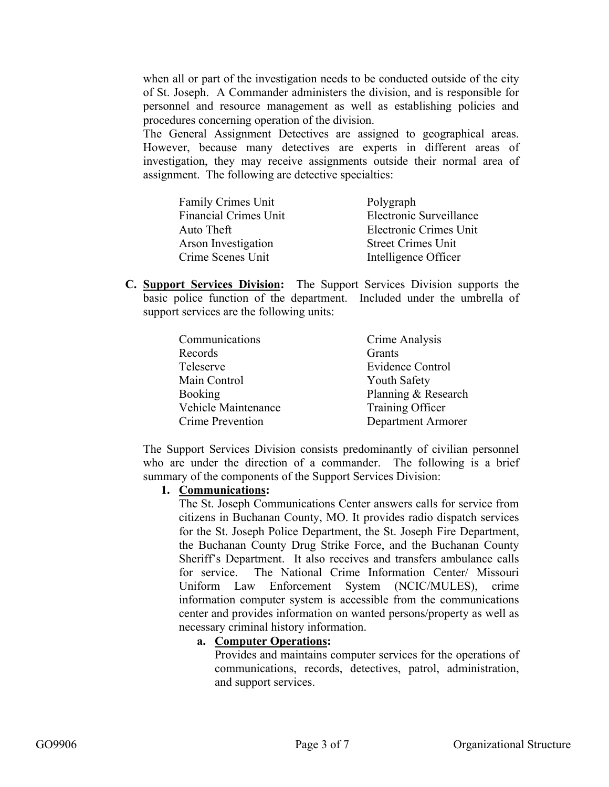when all or part of the investigation needs to be conducted outside of the city of St. Joseph. A Commander administers the division, and is responsible for personnel and resource management as well as establishing policies and procedures concerning operation of the division.

The General Assignment Detectives are assigned to geographical areas. However, because many detectives are experts in different areas of investigation, they may receive assignments outside their normal area of assignment. The following are detective specialties:

| Family Crimes Unit           | Polygraph                 |
|------------------------------|---------------------------|
| <b>Financial Crimes Unit</b> | Electronic Surveillance   |
| Auto Theft                   | Electronic Crimes Unit    |
| Arson Investigation          | <b>Street Crimes Unit</b> |
| Crime Scenes Unit            | Intelligence Officer      |

**C. Support Services Division:** The Support Services Division supports the basic police function of the department. Included under the umbrella of support services are the following units:

| Communications      | Crime Analysis      |
|---------------------|---------------------|
| Records             | Grants              |
| Teleserve           | Evidence Control    |
| Main Control        | <b>Youth Safety</b> |
| <b>Booking</b>      | Planning & Research |
| Vehicle Maintenance | Training Officer    |
| Crime Prevention    | Department Armorer  |

The Support Services Division consists predominantly of civilian personnel who are under the direction of a commander. The following is a brief summary of the components of the Support Services Division:

#### **1. Communications:**

The St. Joseph Communications Center answers calls for service from citizens in Buchanan County, MO. It provides radio dispatch services for the St. Joseph Police Department, the St. Joseph Fire Department, the Buchanan County Drug Strike Force, and the Buchanan County Sheriff's Department. It also receives and transfers ambulance calls for service. The National Crime Information Center/ Missouri Uniform Law Enforcement System (NCIC/MULES), crime information computer system is accessible from the communications center and provides information on wanted persons/property as well as necessary criminal history information.

#### **a. Computer Operations:**

Provides and maintains computer services for the operations of communications, records, detectives, patrol, administration, and support services.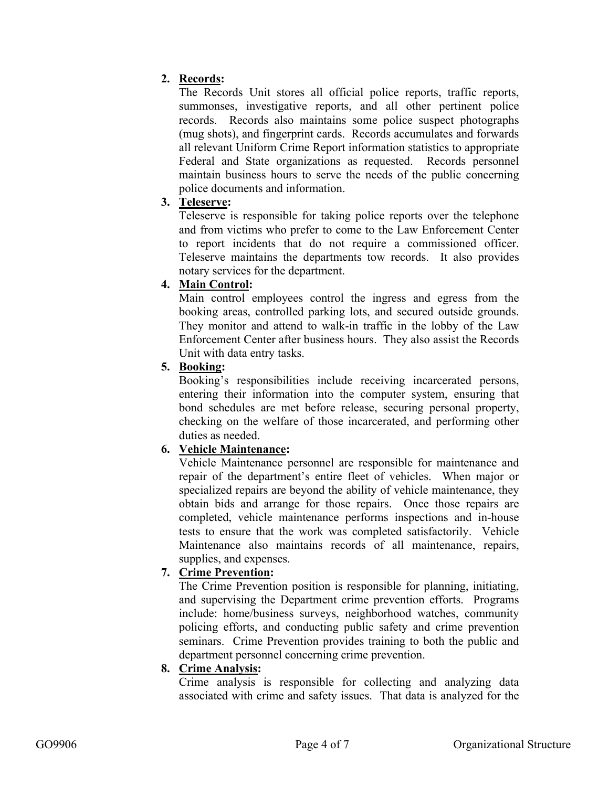# **2. Records:**

The Records Unit stores all official police reports, traffic reports, summonses, investigative reports, and all other pertinent police records. Records also maintains some police suspect photographs (mug shots), and fingerprint cards. Records accumulates and forwards all relevant Uniform Crime Report information statistics to appropriate Federal and State organizations as requested. Records personnel maintain business hours to serve the needs of the public concerning police documents and information.

# **3. Teleserve:**

Teleserve is responsible for taking police reports over the telephone and from victims who prefer to come to the Law Enforcement Center to report incidents that do not require a commissioned officer. Teleserve maintains the departments tow records. It also provides notary services for the department.

# **4. Main Control:**

Main control employees control the ingress and egress from the booking areas, controlled parking lots, and secured outside grounds. They monitor and attend to walk-in traffic in the lobby of the Law Enforcement Center after business hours. They also assist the Records Unit with data entry tasks.

# **5. Booking:**

Booking's responsibilities include receiving incarcerated persons, entering their information into the computer system, ensuring that bond schedules are met before release, securing personal property, checking on the welfare of those incarcerated, and performing other duties as needed.

# **6. Vehicle Maintenance:**

Vehicle Maintenance personnel are responsible for maintenance and repair of the department's entire fleet of vehicles. When major or specialized repairs are beyond the ability of vehicle maintenance, they obtain bids and arrange for those repairs. Once those repairs are completed, vehicle maintenance performs inspections and in-house tests to ensure that the work was completed satisfactorily. Vehicle Maintenance also maintains records of all maintenance, repairs, supplies, and expenses.

# **7. Crime Prevention:**

The Crime Prevention position is responsible for planning, initiating, and supervising the Department crime prevention efforts. Programs include: home/business surveys, neighborhood watches, community policing efforts, and conducting public safety and crime prevention seminars. Crime Prevention provides training to both the public and department personnel concerning crime prevention.

# **8. Crime Analysis:**

Crime analysis is responsible for collecting and analyzing data associated with crime and safety issues. That data is analyzed for the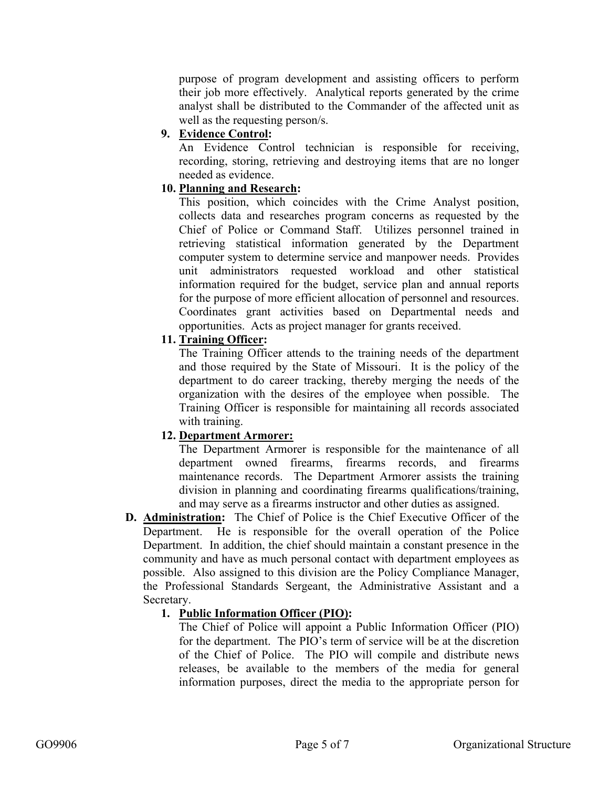purpose of program development and assisting officers to perform their job more effectively. Analytical reports generated by the crime analyst shall be distributed to the Commander of the affected unit as well as the requesting person/s.

# **9. Evidence Control:**

An Evidence Control technician is responsible for receiving, recording, storing, retrieving and destroying items that are no longer needed as evidence.

#### **10. Planning and Research:**

This position, which coincides with the Crime Analyst position, collects data and researches program concerns as requested by the Chief of Police or Command Staff. Utilizes personnel trained in retrieving statistical information generated by the Department computer system to determine service and manpower needs. Provides unit administrators requested workload and other statistical information required for the budget, service plan and annual reports for the purpose of more efficient allocation of personnel and resources. Coordinates grant activities based on Departmental needs and opportunities. Acts as project manager for grants received.

#### **11. Training Officer:**

The Training Officer attends to the training needs of the department and those required by the State of Missouri. It is the policy of the department to do career tracking, thereby merging the needs of the organization with the desires of the employee when possible. The Training Officer is responsible for maintaining all records associated with training.

#### **12. Department Armorer:**

The Department Armorer is responsible for the maintenance of all department owned firearms, firearms records, and firearms maintenance records. The Department Armorer assists the training division in planning and coordinating firearms qualifications/training, and may serve as a firearms instructor and other duties as assigned.

**D. Administration:** The Chief of Police is the Chief Executive Officer of the Department. He is responsible for the overall operation of the Police Department. In addition, the chief should maintain a constant presence in the community and have as much personal contact with department employees as possible. Also assigned to this division are the Policy Compliance Manager, the Professional Standards Sergeant, the Administrative Assistant and a Secretary.

#### **1. Public Information Officer (PIO):**

The Chief of Police will appoint a Public Information Officer (PIO) for the department. The PIO's term of service will be at the discretion of the Chief of Police. The PIO will compile and distribute news releases, be available to the members of the media for general information purposes, direct the media to the appropriate person for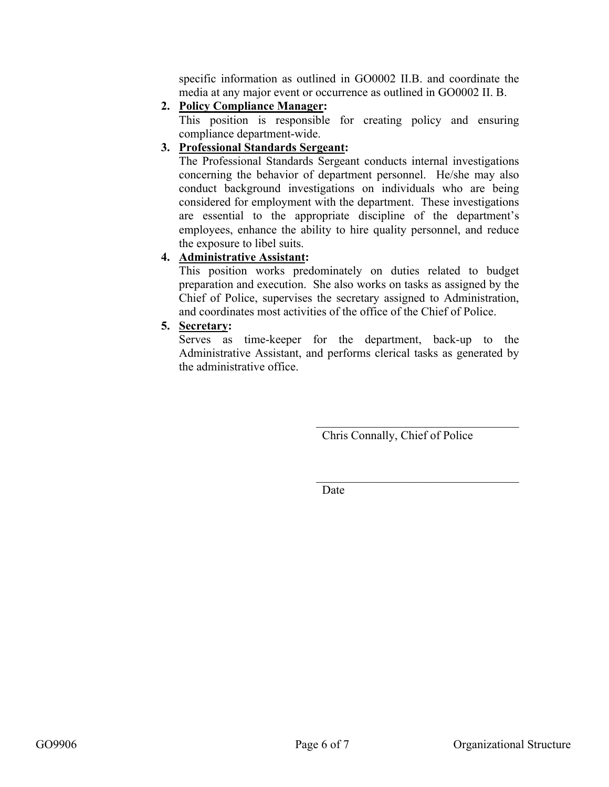specific information as outlined in GO0002 II.B. and coordinate the media at any major event or occurrence as outlined in GO0002 II. B.

**2. Policy Compliance Manager:** 

This position is responsible for creating policy and ensuring compliance department-wide.

#### **3. Professional Standards Sergeant:**

The Professional Standards Sergeant conducts internal investigations concerning the behavior of department personnel. He/she may also conduct background investigations on individuals who are being considered for employment with the department. These investigations are essential to the appropriate discipline of the department's employees, enhance the ability to hire quality personnel, and reduce the exposure to libel suits.

#### **4. Administrative Assistant:**

This position works predominately on duties related to budget preparation and execution. She also works on tasks as assigned by the Chief of Police, supervises the secretary assigned to Administration, and coordinates most activities of the office of the Chief of Police.

#### **5. Secretary:**

Serves as time-keeper for the department, back-up to the Administrative Assistant, and performs clerical tasks as generated by the administrative office.

Chris Connally, Chief of Police

 $\mathcal{L}_\text{max}$  , where  $\mathcal{L}_\text{max}$  and  $\mathcal{L}_\text{max}$  and  $\mathcal{L}_\text{max}$ 

Date